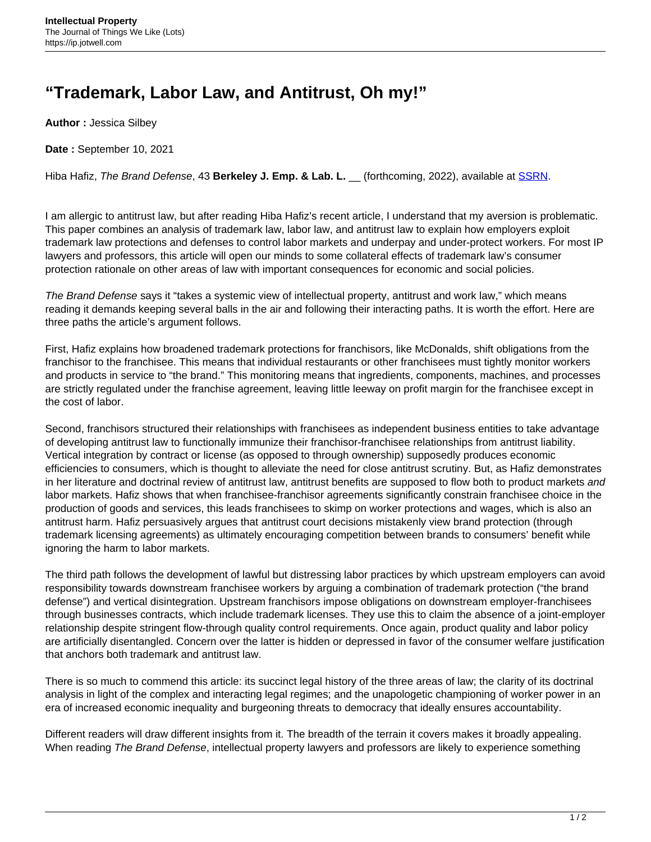## **"Trademark, Labor Law, and Antitrust, Oh my!"**

**Author :** Jessica Silbey

**Date :** September 10, 2021

Hiba Hafiz, The Brand Defense, 43 **Berkeley J. Emp. & Lab. L.** \_\_ (forthcoming, 2022), available at **[SSRN](https://papers.ssrn.com/sol3/papers.cfm?abstract_id=3732395)**.

I am allergic to antitrust law, but after reading Hiba Hafiz's recent article, I understand that my aversion is problematic. This paper combines an analysis of trademark law, labor law, and antitrust law to explain how employers exploit trademark law protections and defenses to control labor markets and underpay and under-protect workers. For most IP lawyers and professors, this article will open our minds to some collateral effects of trademark law's consumer protection rationale on other areas of law with important consequences for economic and social policies.

The Brand Defense says it "takes a systemic view of intellectual property, antitrust and work law," which means reading it demands keeping several balls in the air and following their interacting paths. It is worth the effort. Here are three paths the article's argument follows.

First, Hafiz explains how broadened trademark protections for franchisors, like McDonalds, shift obligations from the franchisor to the franchisee. This means that individual restaurants or other franchisees must tightly monitor workers and products in service to "the brand." This monitoring means that ingredients, components, machines, and processes are strictly regulated under the franchise agreement, leaving little leeway on profit margin for the franchisee except in the cost of labor.

Second, franchisors structured their relationships with franchisees as independent business entities to take advantage of developing antitrust law to functionally immunize their franchisor-franchisee relationships from antitrust liability. Vertical integration by contract or license (as opposed to through ownership) supposedly produces economic efficiencies to consumers, which is thought to alleviate the need for close antitrust scrutiny. But, as Hafiz demonstrates in her literature and doctrinal review of antitrust law, antitrust benefits are supposed to flow both to product markets and labor markets. Hafiz shows that when franchisee-franchisor agreements significantly constrain franchisee choice in the production of goods and services, this leads franchisees to skimp on worker protections and wages, which is also an antitrust harm. Hafiz persuasively argues that antitrust court decisions mistakenly view brand protection (through trademark licensing agreements) as ultimately encouraging competition between brands to consumers' benefit while ignoring the harm to labor markets.

The third path follows the development of lawful but distressing labor practices by which upstream employers can avoid responsibility towards downstream franchisee workers by arguing a combination of trademark protection ("the brand defense") and vertical disintegration. Upstream franchisors impose obligations on downstream employer-franchisees through businesses contracts, which include trademark licenses. They use this to claim the absence of a joint-employer relationship despite stringent flow-through quality control requirements. Once again, product quality and labor policy are artificially disentangled. Concern over the latter is hidden or depressed in favor of the consumer welfare justification that anchors both trademark and antitrust law.

There is so much to commend this article: its succinct legal history of the three areas of law; the clarity of its doctrinal analysis in light of the complex and interacting legal regimes; and the unapologetic championing of worker power in an era of increased economic inequality and burgeoning threats to democracy that ideally ensures accountability.

Different readers will draw different insights from it. The breadth of the terrain it covers makes it broadly appealing. When reading The Brand Defense, intellectual property lawyers and professors are likely to experience something